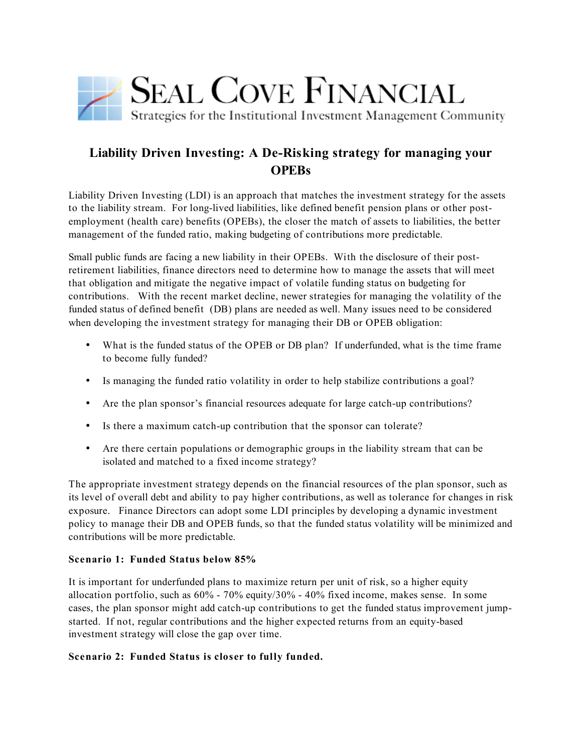

# **Liability Driven Investing: A De-Risking strategy for managing your OPEBs**

Liability Driven Investing (LDI) is an approach that matches the investment strategy for the assets to the liability stream. For long-lived liabilities, like defined benefit pension plans or other postemployment (health care) benefits (OPEBs), the closer the match of assets to liabilities, the better management of the funded ratio, making budgeting of contributions more predictable.

Small public funds are facing a new liability in their OPEBs. With the disclosure of their postretirement liabilities, finance directors need to determine how to manage the assets that will meet that obligation and mitigate the negative impact of volatile funding status on budgeting for contributions. With the recent market decline, newer strategies for managing the volatility of the funded status of defined benefit (DB) plans are needed as well. Many issues need to be considered when developing the investment strategy for managing their DB or OPEB obligation:

- What is the funded status of the OPEB or DB plan? If underfunded, what is the time frame to become fully funded?
- Is managing the funded ratio volatility in order to help stabilize contributions a goal?
- Are the plan sponsor's financial resources adequate for large catch-up contributions?
- Is there a maximum catch-up contribution that the sponsor can tolerate?
- Are there certain populations or demographic groups in the liability stream that can be isolated and matched to a fixed income strategy?

The appropriate investment strategy depends on the financial resources of the plan sponsor, such as its level of overall debt and ability to pay higher contributions, as well as tolerance for changes in risk exposure. Finance Directors can adopt some LDI principles by developing a dynamic investment policy to manage their DB and OPEB funds, so that the funded status volatility will be minimized and contributions will be more predictable.

## **Scenario 1: Funded Status below 85%**

It is important for underfunded plans to maximize return per unit of risk, so a higher equity allocation portfolio, such as 60% - 70% equity/30% - 40% fixed income, makes sense. In some cases, the plan sponsor might add catch-up contributions to get the funded status improvement jumpstarted. If not, regular contributions and the higher expected returns from an equity-based investment strategy will close the gap over time.

## **Scenario 2: Funded Status is closer to fully funded.**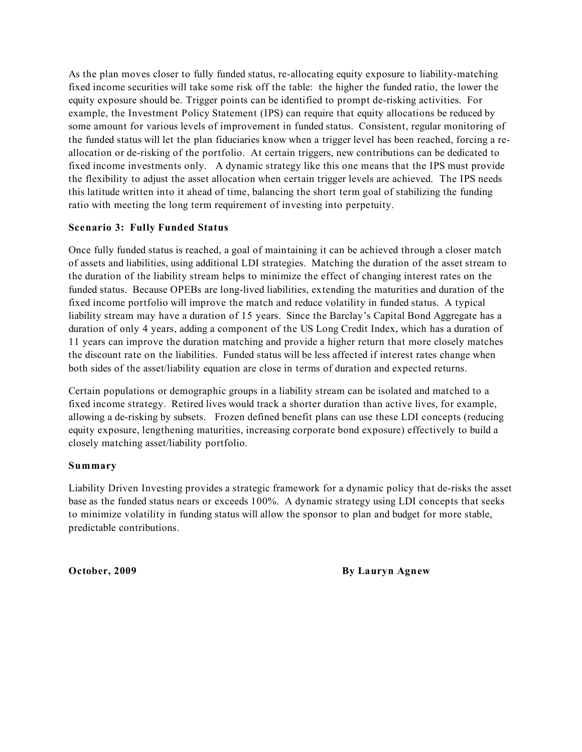As the plan moves closer to fully funded status, re-allocating equity exposure to liability-matching fixed income securities will take some risk off the table: the higher the funded ratio, the lower the equity exposure should be. Trigger points can be identified to prompt de-risking activities. For example, the Investment Policy Statement (IPS) can require that equity allocations be reduced by some amount for various levels of improvement in funded status. Consistent, regular monitoring of the funded status will let the plan fiduciaries know when a trigger level has been reached, forcing a reallocation or de-risking of the portfolio. At certain triggers, new contributions can be dedicated to fixed income investments only. A dynamic strategy like this one means that the IPS must provide the flexibility to adjust the asset allocation when certain trigger levels are achieved. The IPS needs this latitude written into it ahead of time, balancing the short term goal of stabilizing the funding ratio with meeting the long term requirement of investing into perpetuity.

#### **Scenario 3: Fully Funded Status**

Once fully funded status is reached, a goal of maintaining it can be achieved through a closer match of assets and liabilities, using additional LDI strategies. Matching the duration of the asset stream to the duration of the liability stream helps to minimize the effect of changing interest rates on the funded status. Because OPEBs are long-lived liabilities, extending the maturities and duration of the fixed income portfolio will improve the match and reduce volatility in funded status. A typical liability stream may have a duration of 15 years. Since the Barclay's Capital Bond Aggregate has a duration of only 4 years, adding a component of the US Long Credit Index, which has a duration of 11 years can improve the duration matching and provide a higher return that more closely matches the discount rate on the liabilities. Funded status will be less affected if interest rates change when both sides of the asset/liability equation are close in terms of duration and expected returns.

Certain populations or demographic groups in a liability stream can be isolated and matched to a fixed income strategy. Retired lives would track a shorter duration than active lives, for example, allowing a de-risking by subsets. Frozen defined benefit plans can use these LDI concepts (reducing equity exposure, lengthening maturities, increasing corporate bond exposure) effectively to build a closely matching asset/liability portfolio.

#### **Summary**

Liability Driven Investing provides a strategic framework for a dynamic policy that de-risks the asset base as the funded status nears or exceeds 100%. A dynamic strategy using LDI concepts that seeks to minimize volatility in funding status will allow the sponsor to plan and budget for more stable, predictable contributions.

**October, 2009 By Lauryn Agnew**